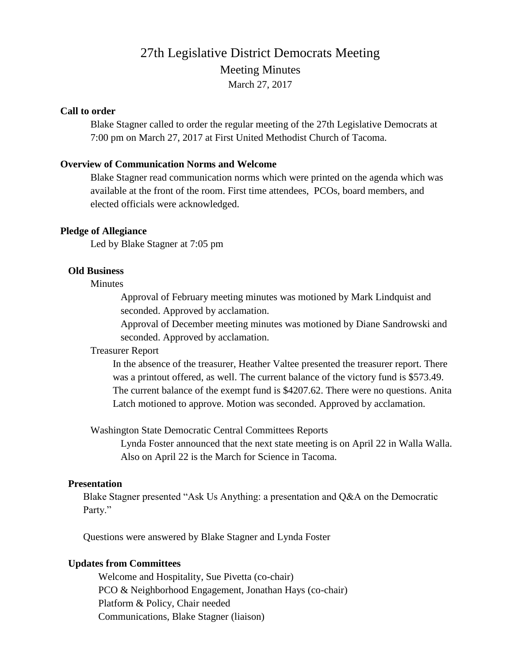# 27th Legislative District Democrats Meeting Meeting Minutes March 27, 2017

#### **Call to order**

Blake Stagner called to order the regular meeting of the 27th Legislative Democrats at 7:00 pm on March 27, 2017 at First United Methodist Church of Tacoma.

#### **Overview of Communication Norms and Welcome**

Blake Stagner read communication norms which were printed on the agenda which was available at the front of the room. First time attendees, PCOs, board members, and elected officials were acknowledged.

#### **Pledge of Allegiance**

Led by Blake Stagner at 7:05 pm

#### **Old Business**

**Minutes** 

Approval of February meeting minutes was motioned by Mark Lindquist and seconded. Approved by acclamation.

Approval of December meeting minutes was motioned by Diane Sandrowski and seconded. Approved by acclamation.

#### Treasurer Report

In the absence of the treasurer, Heather Valtee presented the treasurer report. There was a printout offered, as well. The current balance of the victory fund is \$573.49. The current balance of the exempt fund is \$4207.62. There were no questions. Anita Latch motioned to approve. Motion was seconded. Approved by acclamation.

Washington State Democratic Central Committees Reports

Lynda Foster announced that the next state meeting is on April 22 in Walla Walla. Also on April 22 is the March for Science in Tacoma.

## **Presentation**

Blake Stagner presented "Ask Us Anything: a presentation and Q&A on the Democratic Party."

Questions were answered by Blake Stagner and Lynda Foster

#### **Updates from Committees**

Welcome and Hospitality, Sue Pivetta (co-chair) PCO & Neighborhood Engagement, Jonathan Hays (co-chair) Platform & Policy, Chair needed Communications, Blake Stagner (liaison)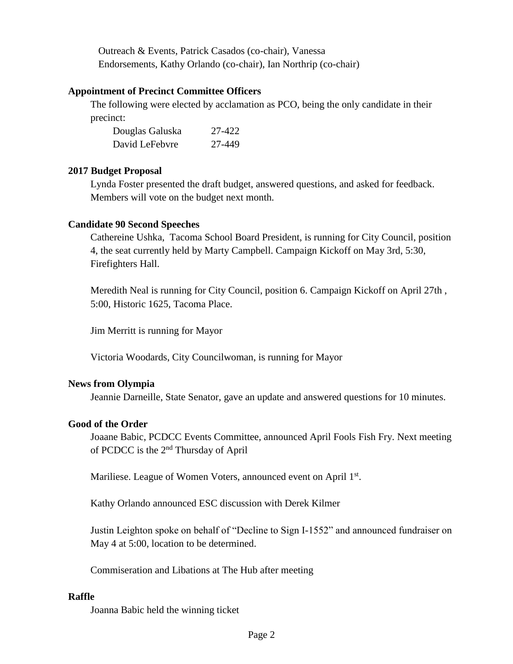Outreach & Events, Patrick Casados (co-chair), Vanessa Endorsements, Kathy Orlando (co-chair), Ian Northrip (co-chair)

## **Appointment of Precinct Committee Officers**

The following were elected by acclamation as PCO, being the only candidate in their precinct:

| Douglas Galuska | 27-422 |
|-----------------|--------|
| David LeFebvre  | 27-449 |

## **2017 Budget Proposal**

Lynda Foster presented the draft budget, answered questions, and asked for feedback. Members will vote on the budget next month.

## **Candidate 90 Second Speeches**

Cathereine Ushka, Tacoma School Board President, is running for City Council, position 4, the seat currently held by Marty Campbell. Campaign Kickoff on May 3rd, 5:30, Firefighters Hall.

Meredith Neal is running for City Council, position 6. Campaign Kickoff on April 27th , 5:00, Historic 1625, Tacoma Place.

Jim Merritt is running for Mayor

Victoria Woodards, City Councilwoman, is running for Mayor

## **News from Olympia**

Jeannie Darneille, State Senator, gave an update and answered questions for 10 minutes.

# **Good of the Order**

Joaane Babic, PCDCC Events Committee, announced April Fools Fish Fry. Next meeting of PCDCC is the 2nd Thursday of April

Mariliese. League of Women Voters, announced event on April 1st.

Kathy Orlando announced ESC discussion with Derek Kilmer

Justin Leighton spoke on behalf of "Decline to Sign I-1552" and announced fundraiser on May 4 at 5:00, location to be determined.

Commiseration and Libations at The Hub after meeting

# **Raffle**

Joanna Babic held the winning ticket